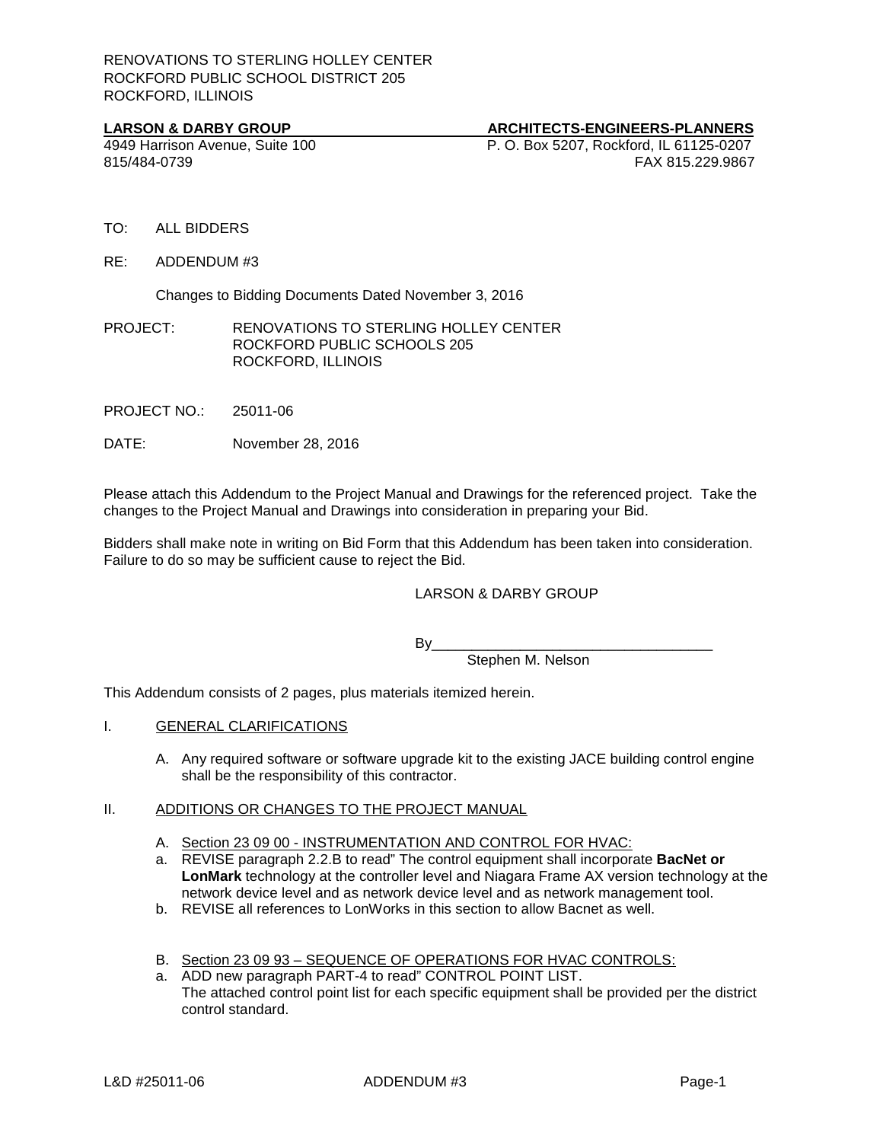**LARSON & DARBY GROUP**<br> **ARCHITECTS-ENGINEERS-PLANNERS**<br> **ARCHITECTS-ENGINEERS-PLANNERS**<br> **P. O. Box 5207. Rockford. IL 61125-0207** 4949 Harrison Avenue, Suite 100 P. O. Box 5207, Rockford, IL 61125-0207 815/484-0739 FAX 815.229.9867

- TO: ALL BIDDERS
- RE: ADDENDUM #3

Changes to Bidding Documents Dated November 3, 2016

PROJECT: RENOVATIONS TO STERLING HOLLEY CENTER ROCKFORD PUBLIC SCHOOLS 205 ROCKFORD, ILLINOIS

PROJECT NO.: 25011-06

DATE: November 28, 2016

Please attach this Addendum to the Project Manual and Drawings for the referenced project. Take the changes to the Project Manual and Drawings into consideration in preparing your Bid.

Bidders shall make note in writing on Bid Form that this Addendum has been taken into consideration. Failure to do so may be sufficient cause to reject the Bid.

### LARSON & DARBY GROUP

By\_\_\_\_\_\_\_\_\_\_\_\_\_\_\_\_\_\_\_\_\_\_\_\_\_\_\_\_\_\_\_\_\_\_\_

Stephen M. Nelson

This Addendum consists of 2 pages, plus materials itemized herein.

- I. GENERAL CLARIFICATIONS
	- A. Any required software or software upgrade kit to the existing JACE building control engine shall be the responsibility of this contractor.

### II. ADDITIONS OR CHANGES TO THE PROJECT MANUAL

- A. Section 23 09 00 INSTRUMENTATION AND CONTROL FOR HVAC:
- a. REVISE paragraph 2.2.B to read" The control equipment shall incorporate **BacNet or LonMark** technology at the controller level and Niagara Frame AX version technology at the network device level and as network device level and as network management tool.
- b. REVISE all references to LonWorks in this section to allow Bacnet as well.
- B. Section 23 09 93 SEQUENCE OF OPERATIONS FOR HVAC CONTROLS:
- a. ADD new paragraph PART-4 to read" CONTROL POINT LIST. The attached control point list for each specific equipment shall be provided per the district control standard.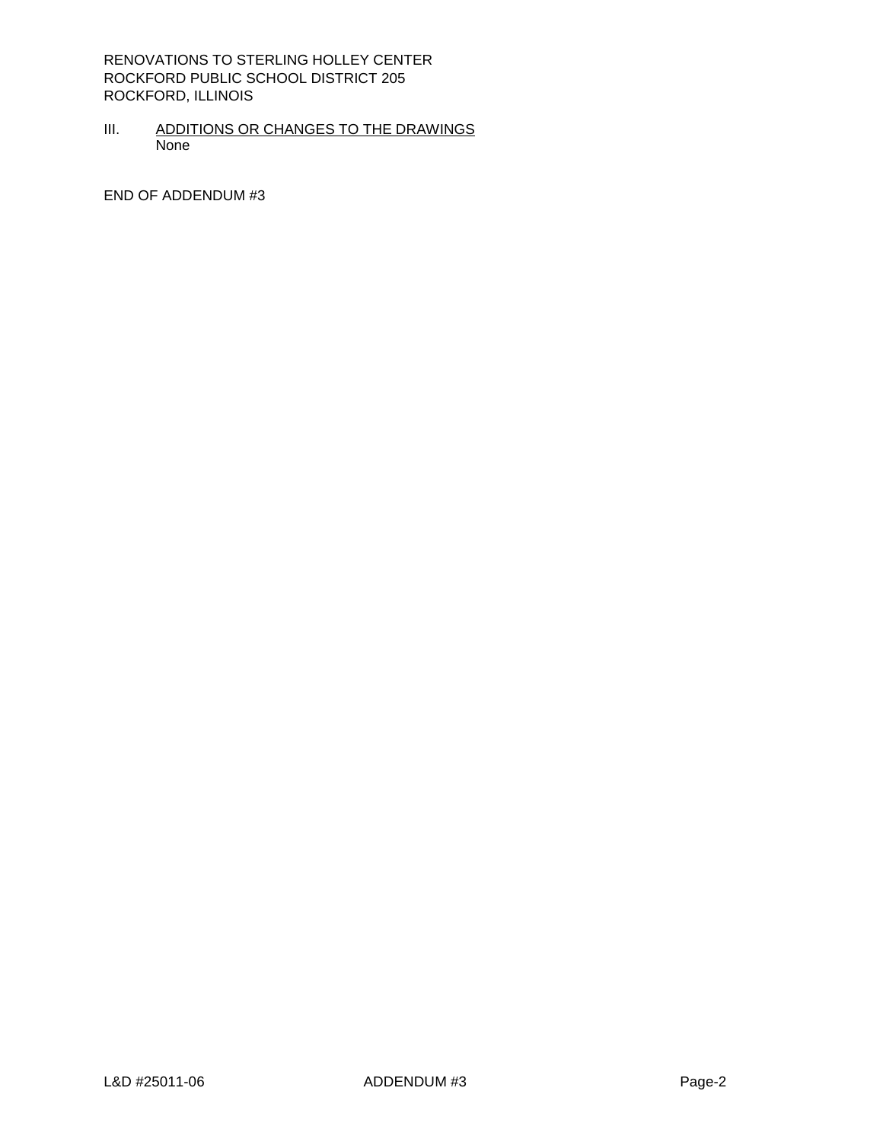RENOVATIONS TO STERLING HOLLEY CENTER ROCKFORD PUBLIC SCHOOL DISTRICT 205 ROCKFORD, ILLINOIS

III. ADDITIONS OR CHANGES TO THE DRAWINGS None

END OF ADDENDUM #3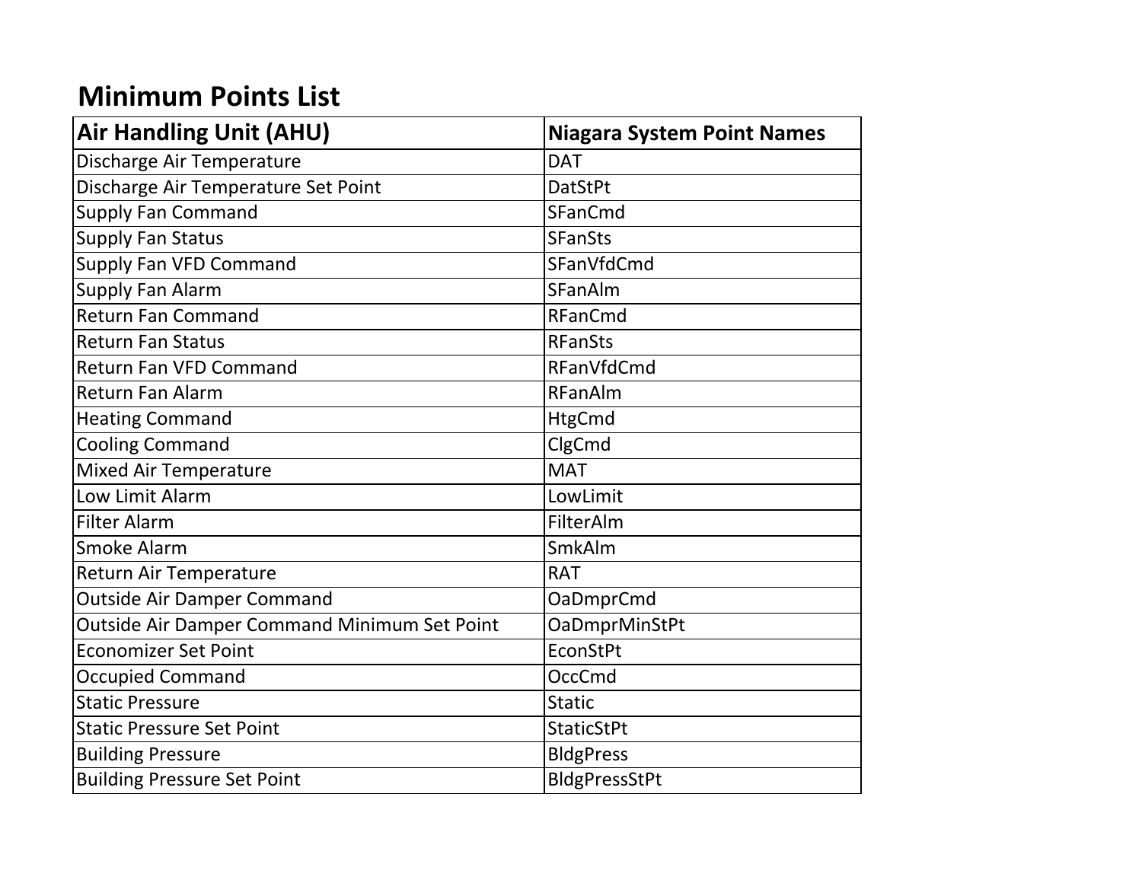## **Minimum Points List**

| <b>Air Handling Unit (AHU)</b>               | <b>Niagara System Point Names</b> |
|----------------------------------------------|-----------------------------------|
| Discharge Air Temperature                    | <b>DAT</b>                        |
| Discharge Air Temperature Set Point          | <b>DatStPt</b>                    |
| <b>Supply Fan Command</b>                    | SFanCmd                           |
| <b>Supply Fan Status</b>                     | <b>SFanSts</b>                    |
| Supply Fan VFD Command                       | SFanVfdCmd                        |
| <b>Supply Fan Alarm</b>                      | <b>SFanAlm</b>                    |
| <b>Return Fan Command</b>                    | RFanCmd                           |
| <b>Return Fan Status</b>                     | <b>RFanSts</b>                    |
| <b>Return Fan VFD Command</b>                | RFanVfdCmd                        |
| <b>Return Fan Alarm</b>                      | RFanAlm                           |
| <b>Heating Command</b>                       | <b>HtgCmd</b>                     |
| <b>Cooling Command</b>                       | ClgCmd                            |
| <b>Mixed Air Temperature</b>                 | <b>MAT</b>                        |
| Low Limit Alarm                              | LowLimit                          |
| <b>Filter Alarm</b>                          | FilterAlm                         |
| <b>Smoke Alarm</b>                           | SmkAlm                            |
| Return Air Temperature                       | <b>RAT</b>                        |
| <b>Outside Air Damper Command</b>            | <b>OaDmprCmd</b>                  |
| Outside Air Damper Command Minimum Set Point | <b>OaDmprMinStPt</b>              |
| <b>Economizer Set Point</b>                  | EconStPt                          |
| <b>Occupied Command</b>                      | OccCmd                            |
| <b>Static Pressure</b>                       | <b>Static</b>                     |
| <b>Static Pressure Set Point</b>             | <b>StaticStPt</b>                 |
| <b>Building Pressure</b>                     | <b>BldgPress</b>                  |
| <b>Building Pressure Set Point</b>           | BldgPressStPt                     |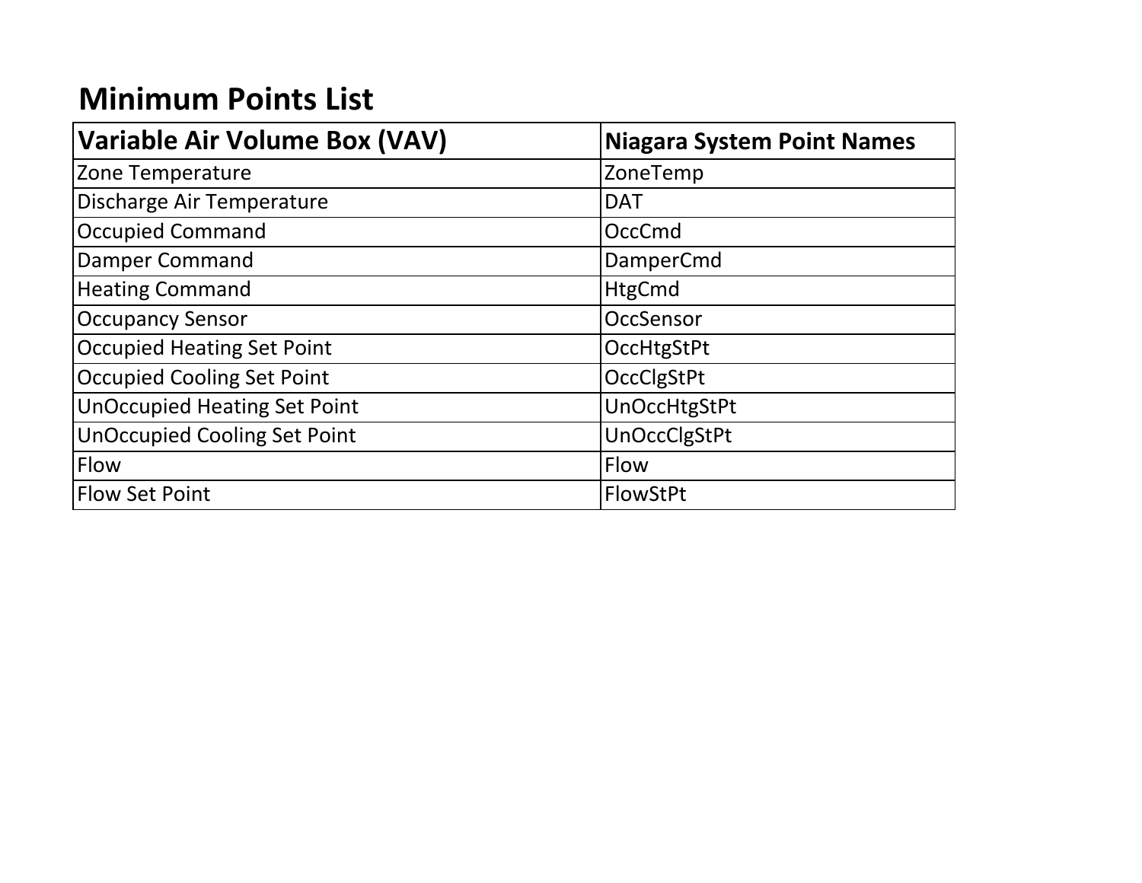# **Minimum Points List**

| <b>Variable Air Volume Box (VAV)</b> | <b>Niagara System Point Names</b> |  |  |  |
|--------------------------------------|-----------------------------------|--|--|--|
| Zone Temperature                     | ZoneTemp                          |  |  |  |
| Discharge Air Temperature            | <b>DAT</b>                        |  |  |  |
| <b>Occupied Command</b>              | <b>OccCmd</b>                     |  |  |  |
| Damper Command                       | DamperCmd                         |  |  |  |
| <b>Heating Command</b>               | <b>HtgCmd</b>                     |  |  |  |
| <b>Occupancy Sensor</b>              | OccSensor                         |  |  |  |
| <b>Occupied Heating Set Point</b>    | OccHtgStPt                        |  |  |  |
| <b>Occupied Cooling Set Point</b>    | OccClgStPt                        |  |  |  |
| <b>UnOccupied Heating Set Point</b>  | <b>UnOccHtgStPt</b>               |  |  |  |
| <b>UnOccupied Cooling Set Point</b>  | <b>UnOccClgStPt</b>               |  |  |  |
| Flow                                 | <b>Flow</b>                       |  |  |  |
| <b>Flow Set Point</b>                | FlowStPt                          |  |  |  |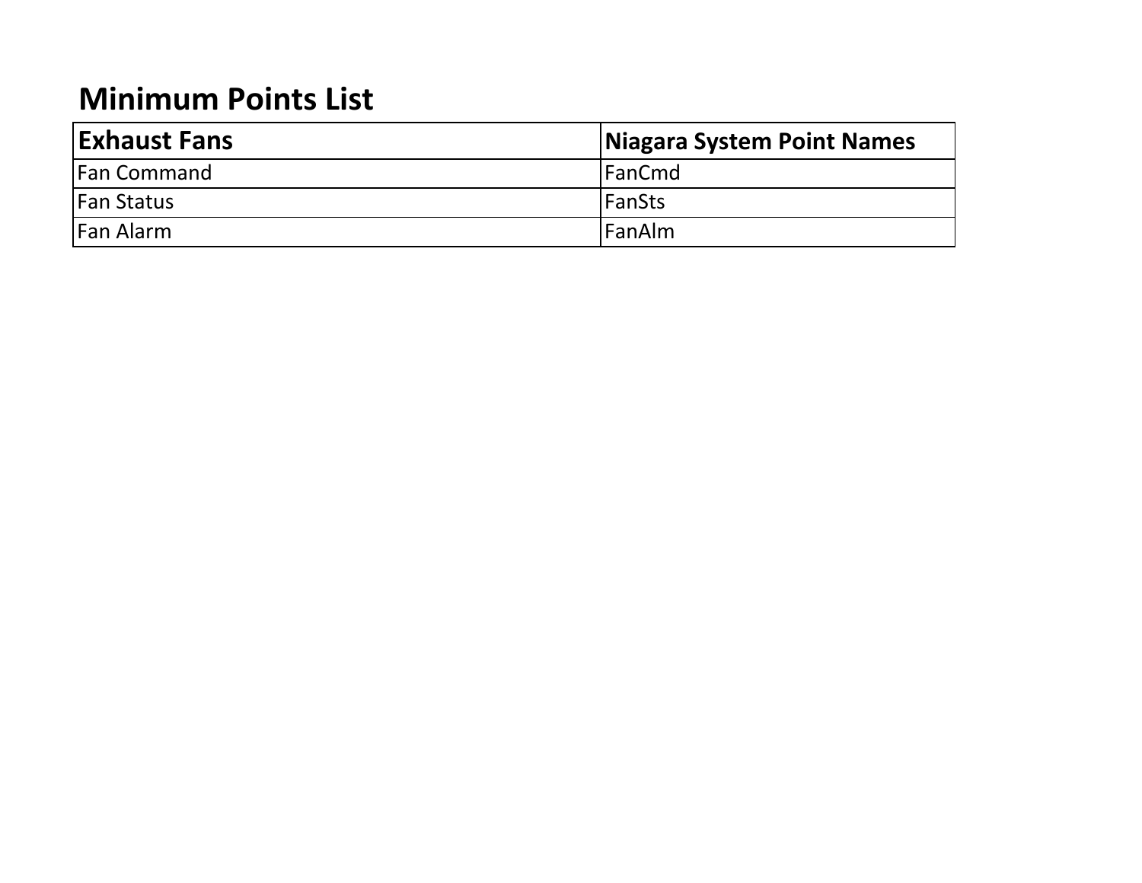## **Minimum Points List**

| <b>Exhaust Fans</b> | Niagara System Point Names |
|---------------------|----------------------------|
| <b>Fan Command</b>  | <b>IFanCmd</b>             |
| <b>Fan Status</b>   | <b>IFanSts</b>             |
| Fan Alarm           | <b>IFanAlm</b>             |